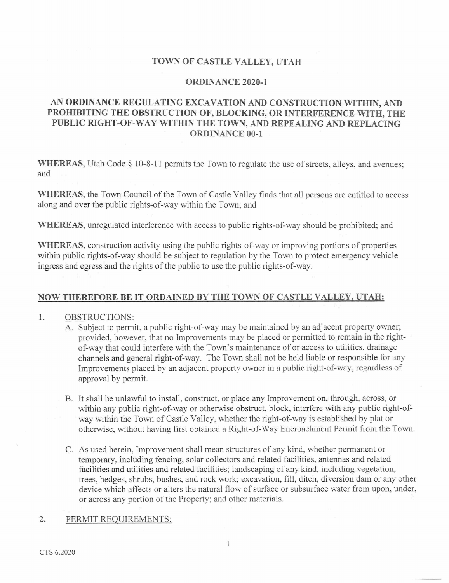## TOWN OF CASTLE VALLEY, UTAH

### ORDINANCE 2020-1

# AN ORDINANCE REGULATING EXCAVATION AND CONSTRUCTION WITHIN, AND PROHIBITING THE OBSTRUCTION OF, BLOCKING, OR INTERFERENCE WITH, THE PUBLIC RIGHT-OF-WAY WITHIN THE TOWN, AND REPEALING AND REPLACING ORDINANCE 00-1

WHEREAS, Utah Code § 10-8-11 permits the Town to regulate the use of streets, alleys, and avenues; and

WHEREAS, the Town Council of the Town of Castle Valley finds that all persons are entitled to access along and over the public rights-of-way within the Town; and

WHEREAS, unregulated interference with access to public rights-of-way should be prohibited; and

WHEREAS, construction activity using the public rights-of-way or improving portions of properties within public rights-of-way should be subject to regulation by the Town to protect emergency vehicle ingress and egress and the rights of the public to use the public rights-of-way.

### NOW THEREFORE BE IT ORDAINED BY THE TOWN OF CASTLE VALLEY. UTAH:

### 1. OBSTRUCTIONS:

- A. Subject to permit, a public right-of-way may be maintained by an adjacent property owner; provided, however, that no Improvements may be placed or permitted to remain in the rightof-way that could interfere with the Town's maintenance of or access to utilities, drainage channels and general right-of-way. The Town shall not be held liable or responsible for any Improvements placed by an adjacent property owner in a public right-of-way, regardless of approval by permit.
- B. It shall be unlawful to install, construct, or place any Improvement on, through, across, or within any public right-of-way or otherwise obstruct, block, interfere with any public right-ofway within the Town of Castle Valley, whether the right-of-way is established by plat or otherwise,, without having first obtained a Right-of-Way Encroachment Permit from the Town.
- C. As used herein. Improvement shall mean structures of any kind, whether permanent or temporary, including fencing, solar collectors and related facilities, antennas and related facilities and utilities and related facilities; landscaping of any kind, including vegetation, trees, hedges, shrubs, bushes, and rock work; excavation, fill, ditch, diversion dam or any other device which affects or alters the natural flow of surface or subsurface water from upon, under, or across any portion of the Property; and other materials.

### 2. PERMIT REQUIREMENTS: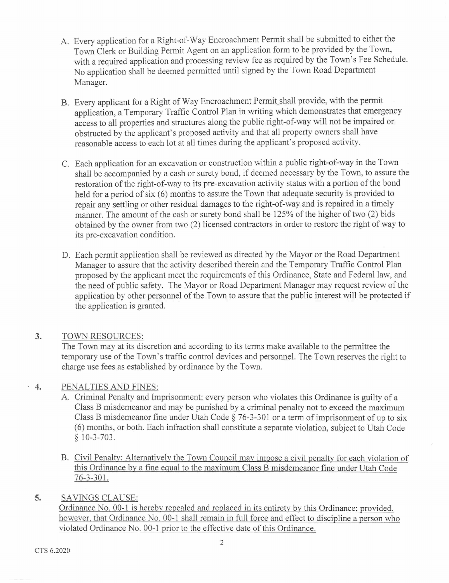- A. Every application for a Right-of-Way Encroachment Permit shall be submitted to either the Town Clerk or Building Permit Agent on an application form to be provided by the Town, with a required application and processing review fee as required by the Town's Fee Schedule. No application shall be deemed permitted until signed by the Town Road Department Manager.
- B. Every applicant for a Right of Way Encroachment Permit shall provide, with the permit application, a Temporary Traffic Control Plan in writing which demonstrates that emergency access to all properties and structures along the public right-of-way will not be impaired or obstructed by the applicant's proposed activity and that all property owners shall have reasonable access to each lot at all times during the applicant's proposed activity.
- C. Each application for an excavation or construction within a public right-of-way in the Town shall be accompanied by a cash or surety bond, if deemed necessary by the Town, to assure the restoration of the right-of-way to its pre-excavation activity status with a portion of the bond held for a period of six (6) months to assure the Town that adequate security is provided to repair any settling or other residual damages to the right-of-way and is repaired in a timely manner. The amount of the cash or surety bond shall be 125% of the higher of two (2) bids obtained by the owner from two (2) licensed contractors in order to restore the right of way to its pre-excavation condition.
- D. Each permit application shall be reviewed as directed by the Mayor or the Road Department Manager to assure that the activity described therein and the Temporary Traffic Control Plan proposed by the applicant meet the requirements of this Ordinance, State and Federal law, and the need of public safety. The Mayor or Road Department Manager may request review of the application by other personnel of the Town to assure that the public interest will be protected if the application is granted.

#### 3. **TOWN RESOURCES:**

The Town may at its discretion and according to its terms make available to the permittee the temporary use of the Town's traffic control devices and personnel. The Town reserves the right to charge use fees as established by ordinance by the Town.

#### $\cdot$  4. PENALTIES AND FINES:

- A. Criminal Penalty and Imprisonment: every person who violates this Ordinance is guilty of a Class B misdemeanor and may be punished by a criminal penalty not to exceed the maximum Class B misdemeanor fine under Utah Code  $\S$  76-3-301 or a term of imprisonment of up to six (6) months, or both. Each infraction shall constitute a separate violation, subject to Utah Code  $§ 10-3-703.$
- B. Civil Penalty: Alternatively the Town Council may impose a civil penalty for each violation of this Ordinance by a fine equal to the maximum Class B misdemeanor fine under Utah Code  $76 - 3 - 301.$

#### 5. **SAVINGS CLAUSE:**

Ordinance No. 00-1 is hereby repealed and replaced in its entirety by this Ordinance; provided, however, that Ordinance No. 00-1 shall remain in full force and effect to discipline a person who violated Ordinance No. 00-1 prior to the effective date of this Ordinance.